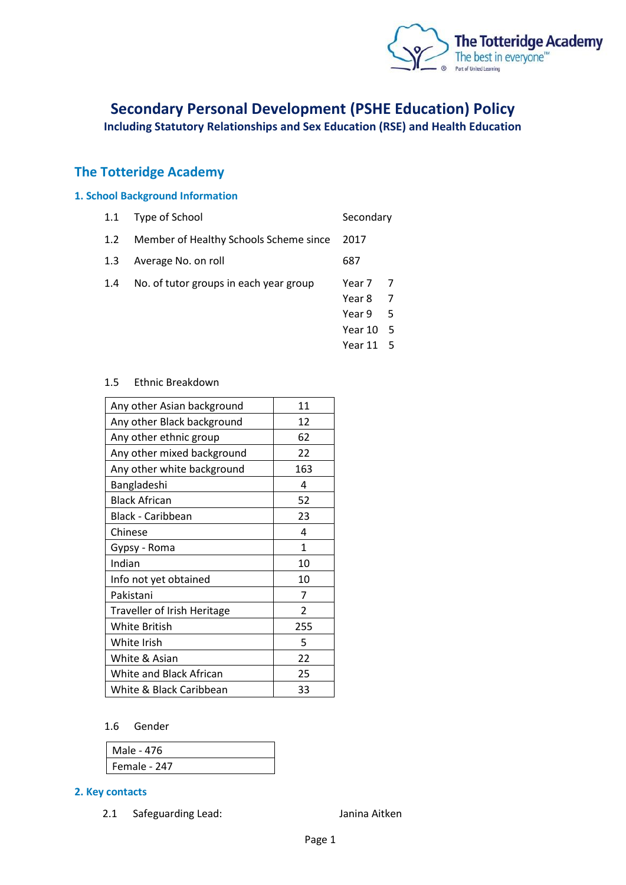

# **Secondary Personal Development (PSHE Education) Policy**

**Including Statutory Relationships and Sex Education (RSE) and Health Education**

## **The Totteridge Academy**

## **1. School Background Information**

| 1.1 Type of School |  |  |  |  |  | Secondary |
|--------------------|--|--|--|--|--|-----------|
|                    |  |  |  |  |  |           |

1.2 Member of Healthy Schools Scheme since 2017

1.3 Average No. on roll 687

- 1.4 No. of tutor groups in each year group Year 7 7
	- Year 8 7
	- Year 9 5
	- Year 10 5
	- Year 11 5

#### 1.5 Ethnic Breakdown

| Any other Asian background  | 11             |
|-----------------------------|----------------|
| Any other Black background  | 12             |
| Any other ethnic group      | 62             |
| Any other mixed background  | 22             |
| Any other white background  | 163            |
| Bangladeshi                 | 4              |
| <b>Black African</b>        | 52             |
| Black - Caribbean           | 23             |
| Chinese                     | 4              |
| Gypsy - Roma                | 1              |
| Indian                      | 10             |
| Info not yet obtained       | 10             |
| Pakistani                   | 7              |
| Traveller of Irish Heritage | $\overline{2}$ |
| White British               | 255            |
| White Irish                 | 5              |
| White & Asian               | 22             |
| White and Black African     | 25             |
| White & Black Caribbean     | 33             |

#### 1.6 Gender

| Male - 476   |  |
|--------------|--|
| Female - 247 |  |

#### **2. Key contacts**

2.1 Safeguarding Lead: Janina Aitken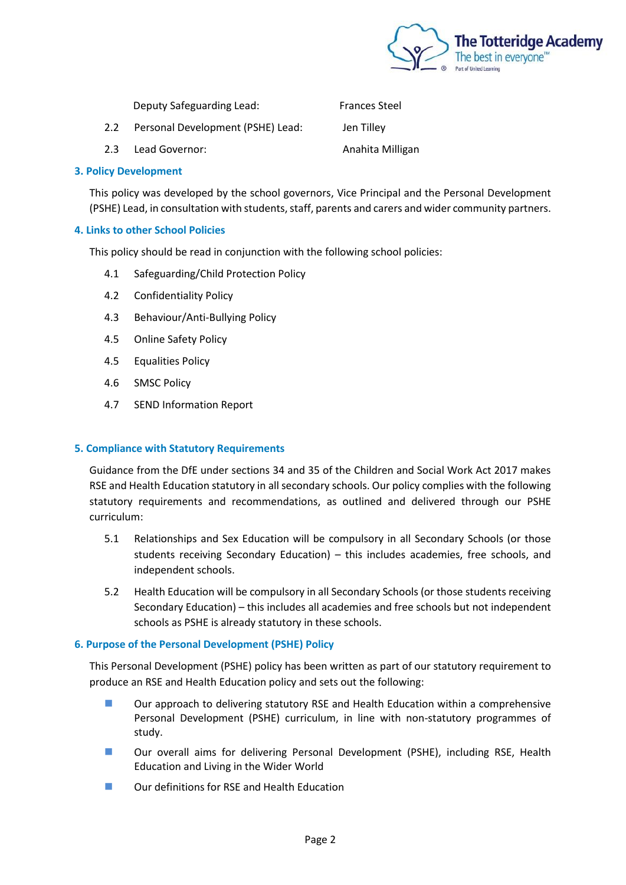

|               | Deputy Safeguarding Lead:         | <b>Frances Steel</b> |
|---------------|-----------------------------------|----------------------|
| $2.2^{\circ}$ | Personal Development (PSHE) Lead: | Jen Tilley           |
| 2.3           | Lead Governor:                    | Anahita Milligan     |

#### **3. Policy Development**

This policy was developed by the school governors, Vice Principal and the Personal Development (PSHE) Lead, in consultation with students, staff, parents and carers and wider community partners.

#### **4. Links to other School Policies**

This policy should be read in conjunction with the following school policies:

- 4.1 Safeguarding/Child Protection Policy
- 4.2 Confidentiality Policy
- 4.3 Behaviour/Anti-Bullying Policy
- 4.5 Online Safety Policy
- 4.5 Equalities Policy
- 4.6 SMSC Policy
- 4.7 SEND Information Report

## **5. Compliance with Statutory Requirements**

Guidance from the DfE under sections 34 and 35 of the Children and Social Work Act 2017 makes RSE and Health Education statutory in all secondary schools. Our policy complies with the following statutory requirements and recommendations, as outlined and delivered through our PSHE curriculum:

- 5.1 Relationships and Sex Education will be compulsory in all Secondary Schools (or those students receiving Secondary Education) – this includes academies, free schools, and independent schools.
- 5.2 Health Education will be compulsory in all Secondary Schools (or those students receiving Secondary Education) – this includes all academies and free schools but not independent schools as PSHE is already statutory in these schools.

## **6. Purpose of the Personal Development (PSHE) Policy**

This Personal Development (PSHE) policy has been written as part of our statutory requirement to produce an RSE and Health Education policy and sets out the following:

- Our approach to delivering statutory RSE and Health Education within a comprehensive Personal Development (PSHE) curriculum, in line with non-statutory programmes of study.
- Our overall aims for delivering Personal Development (PSHE), including RSE, Health Education and Living in the Wider World
- Our definitions for RSE and Health Education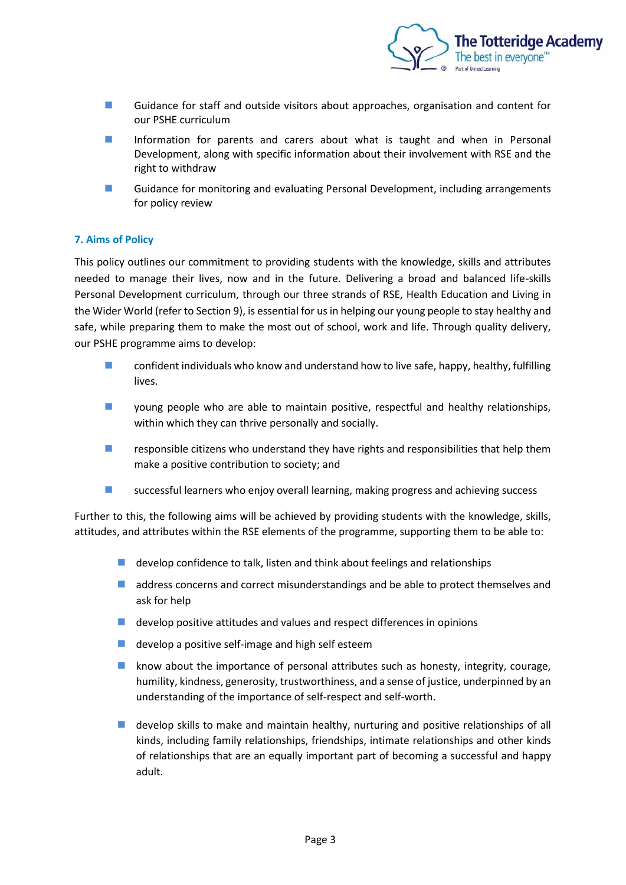

- Guidance for staff and outside visitors about approaches, organisation and content for our PSHE curriculum
- Information for parents and carers about what is taught and when in Personal Development, along with specific information about their involvement with RSE and the right to withdraw
- Guidance for monitoring and evaluating Personal Development, including arrangements for policy review

## **7. Aims of Policy**

This policy outlines our commitment to providing students with the knowledge, skills and attributes needed to manage their lives, now and in the future. Delivering a broad and balanced life-skills Personal Development curriculum, through our three strands of RSE, Health Education and Living in the Wider World (refer to Section 9), is essential for us in helping our young people to stay healthy and safe, while preparing them to make the most out of school, work and life. Through quality delivery, our PSHE programme aims to develop:

- confident individuals who know and understand how to live safe, happy, healthy, fulfilling lives.
- young people who are able to maintain positive, respectful and healthy relationships, within which they can thrive personally and socially.
- responsible citizens who understand they have rights and responsibilities that help them make a positive contribution to society; and
- successful learners who enjoy overall learning, making progress and achieving success

Further to this, the following aims will be achieved by providing students with the knowledge, skills, attitudes, and attributes within the RSE elements of the programme, supporting them to be able to:

- develop confidence to talk, listen and think about feelings and relationships
- address concerns and correct misunderstandings and be able to protect themselves and ask for help
- $\blacksquare$  develop positive attitudes and values and respect differences in opinions
- develop a positive self-image and high self esteem
- know about the importance of personal attributes such as honesty, integrity, courage, humility, kindness, generosity, trustworthiness, and a sense of justice, underpinned by an understanding of the importance of self-respect and self-worth.
- develop skills to make and maintain healthy, nurturing and positive relationships of all kinds, including family relationships, friendships, intimate relationships and other kinds of relationships that are an equally important part of becoming a successful and happy adult.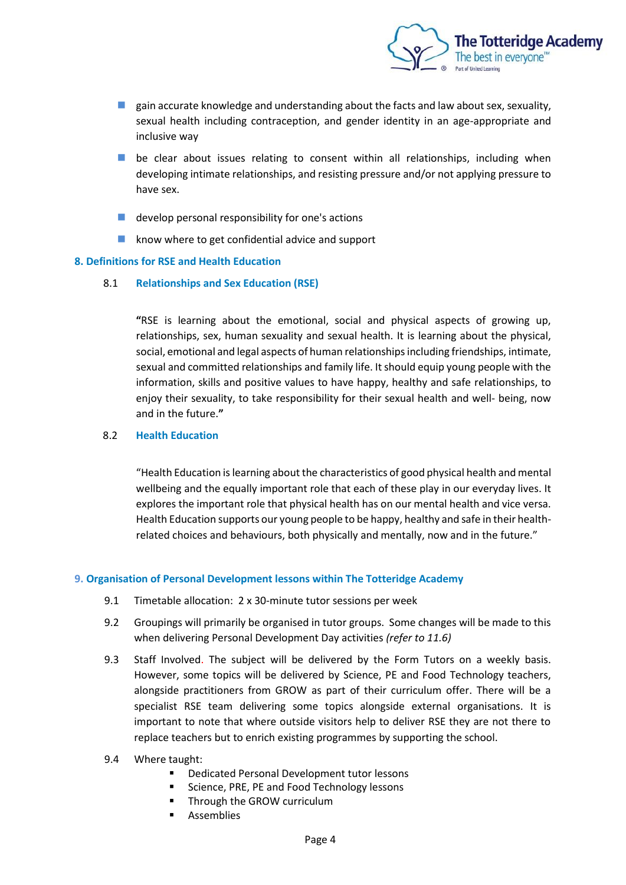

- $\blacksquare$  gain accurate knowledge and understanding about the facts and law about sex, sexuality, sexual health including contraception, and gender identity in an age-appropriate and inclusive way
- be clear about issues relating to consent within all relationships, including when developing intimate relationships, and resisting pressure and/or not applying pressure to have sex.
- develop personal responsibility for one's actions
- know where to get confidential advice and support

## **8. Definitions for RSE and Health Education**

8.1 **Relationships and Sex Education (RSE)** 

**"**RSE is learning about the emotional, social and physical aspects of growing up, relationships, sex, human sexuality and sexual health. It is learning about the physical, social, emotional and legal aspects of human relationships including friendships, intimate, sexual and committed relationships and family life. It should equip young people with the information, skills and positive values to have happy, healthy and safe relationships, to enjoy their sexuality, to take responsibility for their sexual health and well- being, now and in the future.**"**

## 8.2 **Health Education**

"Health Education is learning about the characteristics of good physical health and mental wellbeing and the equally important role that each of these play in our everyday lives. It explores the important role that physical health has on our mental health and vice versa. Health Education supports our young people to be happy, healthy and safe in their healthrelated choices and behaviours, both physically and mentally, now and in the future."

## **9. Organisation of Personal Development lessons within The Totteridge Academy**

- 9.1 Timetable allocation: 2 x 30-minute tutor sessions per week
- 9.2 Groupings will primarily be organised in tutor groups. Some changes will be made to this when delivering Personal Development Day activities *(refer to 11.6)*
- 9.3 Staff Involved. The subject will be delivered by the Form Tutors on a weekly basis. However, some topics will be delivered by Science, PE and Food Technology teachers, alongside practitioners from GROW as part of their curriculum offer. There will be a specialist RSE team delivering some topics alongside external organisations. It is important to note that where outside visitors help to deliver RSE they are not there to replace teachers but to enrich existing programmes by supporting the school.
- 9.4 Where taught:
	- Dedicated Personal Development tutor lessons
	- Science, PRE, PE and Food Technology lessons
	- Through the GROW curriculum
	- **Assemblies**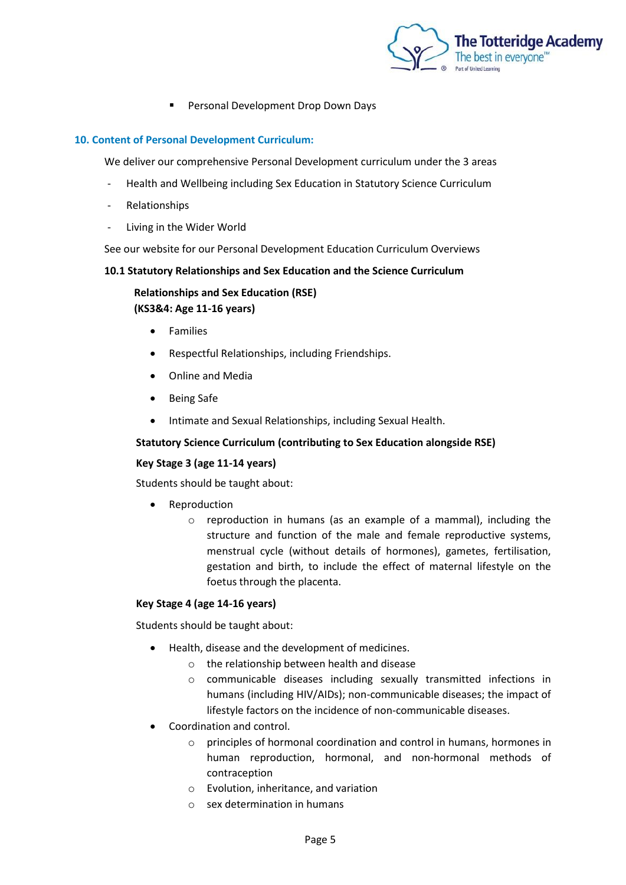

**Personal Development Drop Down Days** 

## **10. Content of Personal Development Curriculum:**

We deliver our comprehensive Personal Development curriculum under the 3 areas

- Health and Wellbeing including Sex Education in Statutory Science Curriculum
- Relationships
- Living in the Wider World

See our website for our Personal Development Education Curriculum Overviews

#### **10.1 Statutory Relationships and Sex Education and the Science Curriculum**

**Relationships and Sex Education (RSE) (KS3&4: Age 11-16 years)**

- Families
- Respectful Relationships, including Friendships.
- Online and Media
- Being Safe
- Intimate and Sexual Relationships, including Sexual Health.

## **Statutory Science Curriculum (contributing to Sex Education alongside RSE)**

## **Key Stage 3 (age 11-14 years)**

Students should be taught about:

- Reproduction
	- o reproduction in humans (as an example of a mammal), including the structure and function of the male and female reproductive systems, menstrual cycle (without details of hormones), gametes, fertilisation, gestation and birth, to include the effect of maternal lifestyle on the foetus through the placenta.

## **Key Stage 4 (age 14-16 years)**

Students should be taught about:

- Health, disease and the development of medicines.
	- o the relationship between health and disease
	- o communicable diseases including sexually transmitted infections in humans (including HIV/AIDs); non-communicable diseases; the impact of lifestyle factors on the incidence of non-communicable diseases.
- Coordination and control.
	- o principles of hormonal coordination and control in humans, hormones in human reproduction, hormonal, and non-hormonal methods of contraception
	- o Evolution, inheritance, and variation
	- o sex determination in humans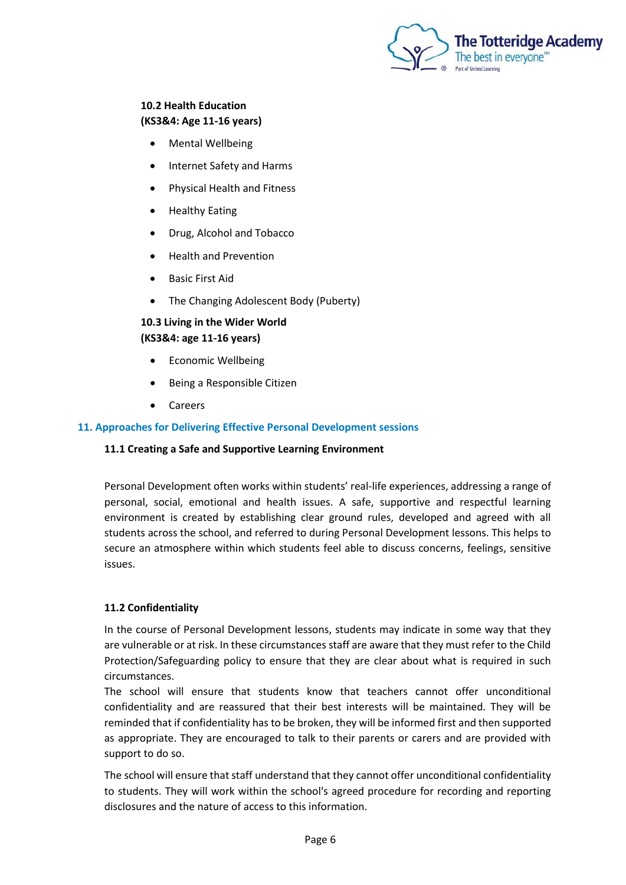

## **10.2 Health Education (KS3&4: Age 11-16 years)**

- Mental Wellbeing
- Internet Safety and Harms
- Physical Health and Fitness
- Healthy Eating
- Drug, Alcohol and Tobacco
- Health and Prevention
- Basic First Aid
- The Changing Adolescent Body (Puberty)

## **10.3 Living in the Wider World (KS3&4: age 11-16 years)**

- Economic Wellbeing
- Being a Responsible Citizen
- Careers

## **11. Approaches for Delivering Effective Personal Development sessions**

## **11.1 Creating a Safe and Supportive Learning Environment**

Personal Development often works within students' real-life experiences, addressing a range of personal, social, emotional and health issues. A safe, supportive and respectful learning environment is created by establishing clear ground rules, developed and agreed with all students across the school, and referred to during Personal Development lessons. This helps to secure an atmosphere within which students feel able to discuss concerns, feelings, sensitive issues.

## **11.2 Confidentiality**

In the course of Personal Development lessons, students may indicate in some way that they are vulnerable or at risk. In these circumstances staff are aware that they must refer to the Child Protection/Safeguarding policy to ensure that they are clear about what is required in such circumstances.

The school will ensure that students know that teachers cannot offer unconditional confidentiality and are reassured that their best interests will be maintained. They will be reminded that if confidentiality has to be broken, they will be informed first and then supported as appropriate. They are encouraged to talk to their parents or carers and are provided with support to do so.

The school will ensure that staff understand that they cannot offer unconditional confidentiality to students. They will work within the school's agreed procedure for recording and reporting disclosures and the nature of access to this information.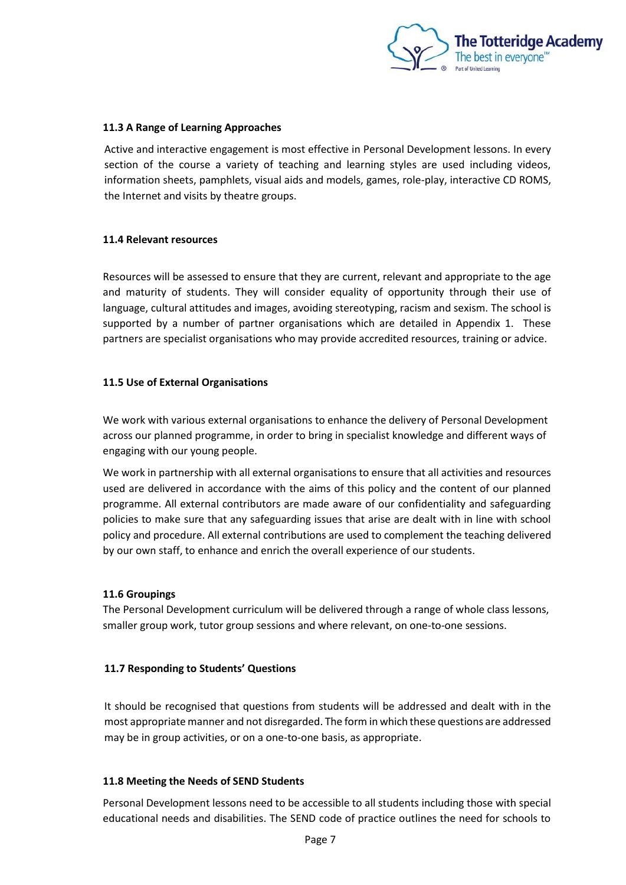

## **11.3 A Range of Learning Approaches**

Active and interactive engagement is most effective in Personal Development lessons. In every section of the course a variety of teaching and learning styles are used including videos, information sheets, pamphlets, visual aids and models, games, role-play, interactive CD ROMS, the Internet and visits by theatre groups.

## **11.4 Relevant resources**

Resources will be assessed to ensure that they are current, relevant and appropriate to the age and maturity of students. They will consider equality of opportunity through their use of language, cultural attitudes and images, avoiding stereotyping, racism and sexism. The school is supported by a number of partner organisations which are detailed in Appendix 1. These partners are specialist organisations who may provide accredited resources, training or advice.

## **11.5 Use of External Organisations**

We work with various external organisations to enhance the delivery of Personal Development across our planned programme, in order to bring in specialist knowledge and different ways of engaging with our young people.

We work in partnership with all external organisations to ensure that all activities and resources used are delivered in accordance with the aims of this policy and the content of our planned programme. All external contributors are made aware of our confidentiality and safeguarding policies to make sure that any safeguarding issues that arise are dealt with in line with school policy and procedure. All external contributions are used to complement the teaching delivered by our own staff, to enhance and enrich the overall experience of our students.

## **11.6 Groupings**

The Personal Development curriculum will be delivered through a range of whole class lessons, smaller group work, tutor group sessions and where relevant, on one-to-one sessions.

## **11.7 Responding to Students' Questions**

It should be recognised that questions from students will be addressed and dealt with in the most appropriate manner and not disregarded. The form in which these questions are addressed may be in group activities, or on a one-to-one basis, as appropriate.

## **11.8 Meeting the Needs of SEND Students**

Personal Development lessons need to be accessible to all students including those with special educational needs and disabilities. The SEND code of practice outlines the need for schools to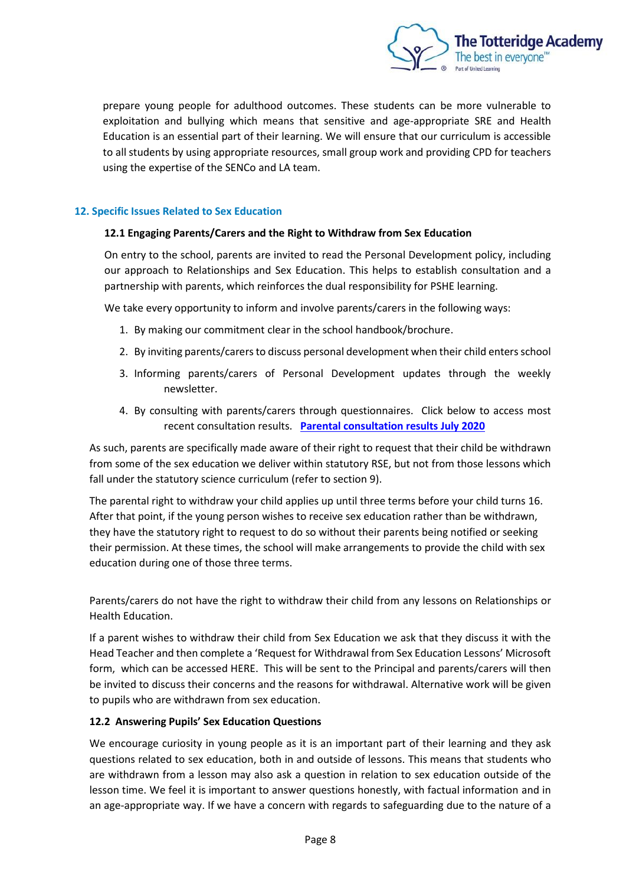

prepare young people for adulthood outcomes. These students can be more vulnerable to exploitation and bullying which means that sensitive and age-appropriate SRE and Health Education is an essential part of their learning. We will ensure that our curriculum is accessible to all students by using appropriate resources, small group work and providing CPD for teachers using the expertise of the SENCo and LA team.

## **12. Specific Issues Related to Sex Education**

## **12.1 Engaging Parents/Carers and the Right to Withdraw from Sex Education**

On entry to the school, parents are invited to read the Personal Development policy, including our approach to Relationships and Sex Education. This helps to establish consultation and a partnership with parents, which reinforces the dual responsibility for PSHE learning.

We take every opportunity to inform and involve parents/carers in the following ways:

- 1. By making our commitment clear in the school handbook/brochure.
- 2. By inviting parents/carers to discuss personal development when their child entersschool
- 3. Informing parents/carers of Personal Development updates through the weekly newsletter.
- 4. By consulting with parents/carers through questionnaires. Click below to access most recent consultation results. **[Parental consultation results July 2020](https://thetotteridgeacademy.sharepoint.com/sites/staffshare/documents/Departments/Personal%20Development/Policy%202021/Surveys)**

As such, parents are specifically made aware of their right to request that their child be withdrawn from some of the sex education we deliver within statutory RSE, but not from those lessons which fall under the statutory science curriculum (refer to section 9).

The parental right to withdraw your child applies up until three terms before your child turns 16. After that point, if the young person wishes to receive sex education rather than be withdrawn, they have the statutory right to request to do so without their parents being notified or seeking their permission. At these times, the school will make arrangements to provide the child with sex education during one of those three terms.

Parents/carers do not have the right to withdraw their child from any lessons on Relationships or Health Education.

If a parent wishes to withdraw their child from Sex Education we ask that they discuss it with the Head Teacher and then complete a 'Request for Withdrawal from Sex Education Lessons' Microsoft form, which can be accessed HERE. This will be sent to the Principal and parents/carers will then be invited to discuss their concerns and the reasons for withdrawal. Alternative work will be given to pupils who are withdrawn from sex education.

## **12.2 Answering Pupils' Sex Education Questions**

We encourage curiosity in young people as it is an important part of their learning and they ask questions related to sex education, both in and outside of lessons. This means that students who are withdrawn from a lesson may also ask a question in relation to sex education outside of the lesson time. We feel it is important to answer questions honestly, with factual information and in an age-appropriate way. If we have a concern with regards to safeguarding due to the nature of a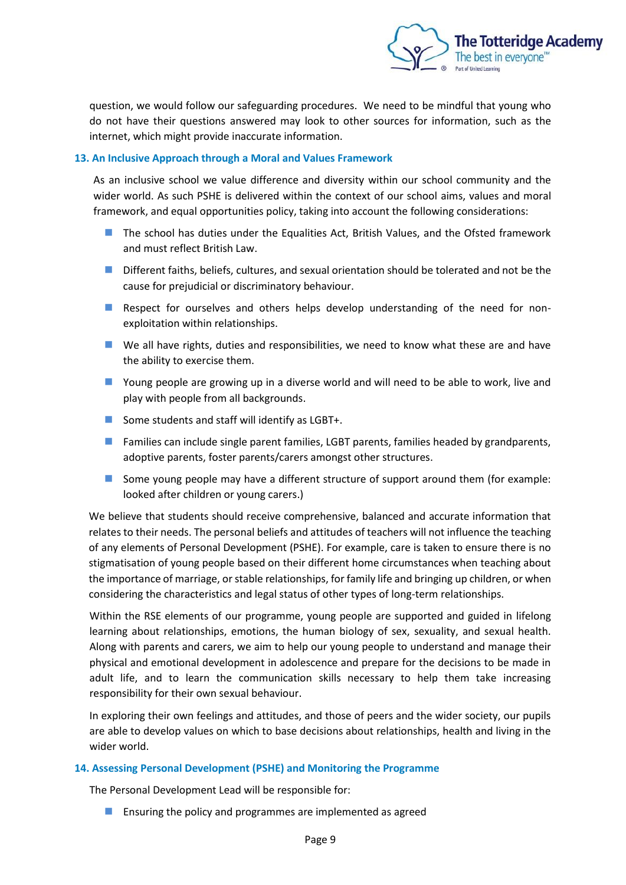

question, we would follow our safeguarding procedures. We need to be mindful that young who do not have their questions answered may look to other sources for information, such as the internet, which might provide inaccurate information.

## **13. An Inclusive Approach through a Moral and Values Framework**

As an inclusive school we value difference and diversity within our school community and the wider world. As such PSHE is delivered within the context of our school aims, values and moral framework, and equal opportunities policy, taking into account the following considerations:

- ◼ The school has duties under the Equalities Act, British Values, and the Ofsted framework and must reflect British Law.
- Different faiths, beliefs, cultures, and sexual orientation should be tolerated and not be the cause for prejudicial or discriminatory behaviour.
- Respect for ourselves and others helps develop understanding of the need for nonexploitation within relationships.
- We all have rights, duties and responsibilities, we need to know what these are and have the ability to exercise them.
- Young people are growing up in a diverse world and will need to be able to work, live and play with people from all backgrounds.
- Some students and staff will identify as LGBT+.
- Families can include single parent families, LGBT parents, families headed by grandparents, adoptive parents, foster parents/carers amongst other structures.
- Some young people may have a different structure of support around them (for example: looked after children or young carers.)

We believe that students should receive comprehensive, balanced and accurate information that relates to their needs. The personal beliefs and attitudes of teachers will not influence the teaching of any elements of Personal Development (PSHE). For example, care is taken to ensure there is no stigmatisation of young people based on their different home circumstances when teaching about the importance of marriage, or stable relationships, for family life and bringing up children, or when considering the characteristics and legal status of other types of long-term relationships.

Within the RSE elements of our programme, young people are supported and guided in lifelong learning about relationships, emotions, the human biology of sex, sexuality, and sexual health. Along with parents and carers, we aim to help our young people to understand and manage their physical and emotional development in adolescence and prepare for the decisions to be made in adult life, and to learn the communication skills necessary to help them take increasing responsibility for their own sexual behaviour.

In exploring their own feelings and attitudes, and those of peers and the wider society, our pupils are able to develop values on which to base decisions about relationships, health and living in the wider world.

#### **14. Assessing Personal Development (PSHE) and Monitoring the Programme**

The Personal Development Lead will be responsible for:

■ Ensuring the policy and programmes are implemented as agreed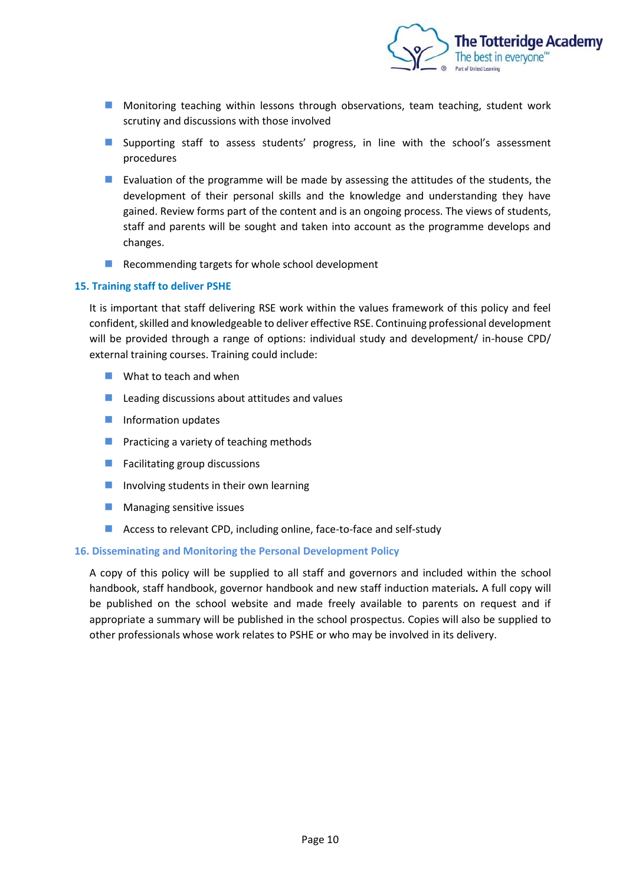

- Monitoring teaching within lessons through observations, team teaching, student work scrutiny and discussions with those involved
- Supporting staff to assess students' progress, in line with the school's assessment procedures
- Evaluation of the programme will be made by assessing the attitudes of the students, the development of their personal skills and the knowledge and understanding they have gained. Review forms part of the content and is an ongoing process. The views of students, staff and parents will be sought and taken into account as the programme develops and changes.
- Recommending targets for whole school development

#### **15. Training staff to deliver PSHE**

It is important that staff delivering RSE work within the values framework of this policy and feel confident, skilled and knowledgeable to deliver effective RSE. Continuing professional development will be provided through a range of options: individual study and development/ in-house CPD/ external training courses. Training could include:

- $\blacksquare$  What to teach and when
- $\blacksquare$  Leading discussions about attitudes and values
- Information updates
- Practicing a variety of teaching methods
- Facilitating group discussions
- Involving students in their own learning
- Managing sensitive issues
- Access to relevant CPD, including online, face-to-face and self-study

#### **16. Disseminating and Monitoring the Personal Development Policy**

A copy of this policy will be supplied to all staff and governors and included within the school handbook, staff handbook, governor handbook and new staff induction materials*.* A full copy will be published on the school website and made freely available to parents on request and if appropriate a summary will be published in the school prospectus. Copies will also be supplied to other professionals whose work relates to PSHE or who may be involved in its delivery.